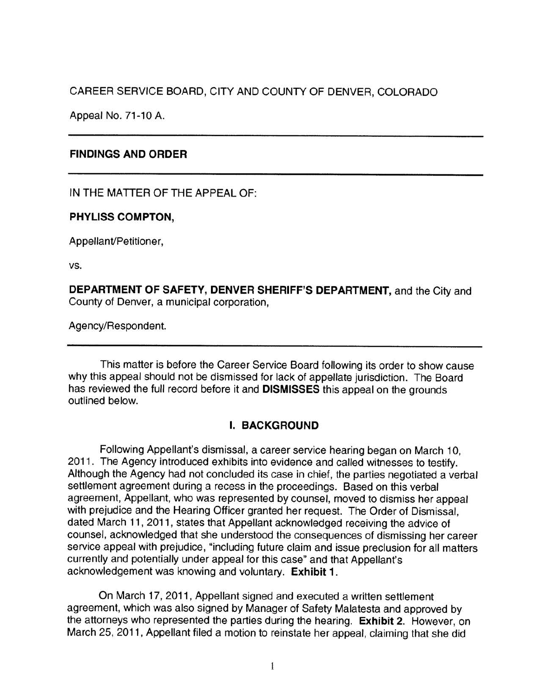CAREER SERVICE BOARD, CITY AND COUNTY OF DENVER, COLORADO

Appeal No. 71-10 A.

# **FINDINGS AND ORDER**

IN THE MATTER OF THE APPEAL OF:

# **PHYLISS COMPTON,**

Appellant/Petitioner,

vs.

**DEPARTMENT OF SAFETY, DENVER SHERIFF'S DEPARTMENT,** and the City and County of Denver, a municipal corporation,

Agency/Respondent.

This matter is before the Career Service Board following its order to show cause why this appeal should not be dismissed for lack of appellate jurisdiction. The Board has reviewed the full record before it and **DISMISSES** this appeal on the grounds outlined below.

# **I. BACKGROUND**

Following Appellant's dismissal, a career service hearing began on March 10, 2011. The Agency introduced exhibits into evidence and called witnesses to testify. Although the Agency had not concluded its case in chief, the parties negotiated a verbal settlement agreement during a recess in the proceedings. Based on this verbal agreement, Appellant, who was represented by counsel, moved to dismiss her appeal with prejudice and the Hearing Officer granted her request. The Order of Dismissal, dated March 11, 2011, states that Appellant acknowledged receiving the advice of counsel, acknowledged that she understood the consequences of dismissing her career service appeal with prejudice, "including future claim and issue preclusion for all matters currently and potentially under appeal for this case" and that Appellant's acknowledgement was knowing and voluntary. **Exhibit 1.** 

On March 17, 2011 , Appellant signed and executed a written settlement agreement, which was also signed by Manager of Safety Malatesta and approved by the attorneys who represented the parties during the hearing. **Exhibit 2.** However, on March 25, 2011 , Appellant filed a motion to reinstate her appeal, claiming that she did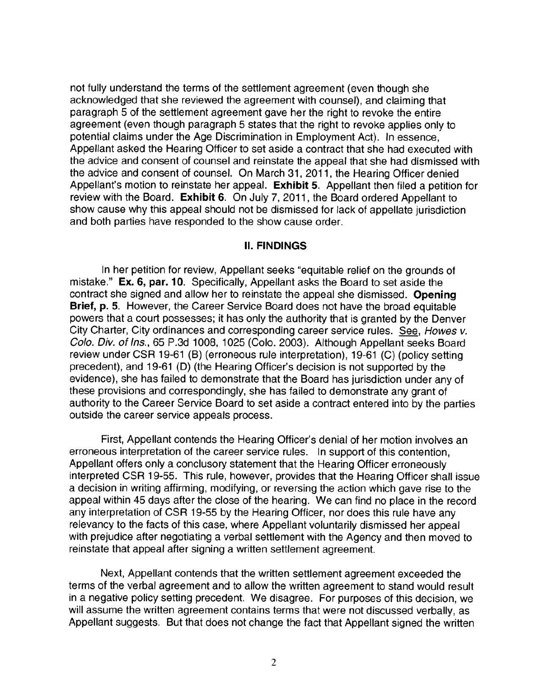not fully understand the terms of the settlement agreement (even though she acknowledged that she reviewed the agreement with counsel), and claiming that paragraph 5 of the settlement agreement gave her the right to revoke the entire agreement (even though paragraph 5 states that the right to revoke applies only to potential claims under the Age Discrimination in Employment Act). In essence, Appellant asked the Hearing Officer to set aside a contract that she had executed with the advice and consent of counsel and reinstate the appeal that she had dismissed with the advice and consent of counsel. On March 31, 2011 , the Hearing Officer denied Appellant's motion to reinstate her appeal. **Exhibit 5.** Appellant then filed a petition for review with the Board. **Exhibit 6.** On July 7, 2011, the Board ordered Appellant to show cause why this appeal should not be dismissed for lack of appellate jurisdiction and both parties have responded to the show cause order.

#### II. **FINDINGS**

In her petition for review, Appellant seeks "equitable relief on the grounds of mistake." **Ex. 6, par. 10.** Specifically, Appellant asks the Board to set aside the contract she signed and allow her to reinstate the appeal she dismissed. **Opening Brief, p. 5.** However, the Career Service Board does not have the broad equitable powers that a court possesses; it has only the authority that is granted by the Denver City Charter, City ordinances and corresponding career service rules. See, Howes v. Colo. Div. of Ins., 65 P.3d 1008, 1025 (Colo. 2003). Although Appellant seeks Board review under CSR 19-61 (B) (erroneous rule interpretation), 19-61 (C) (policy setting precedent), and 19-61 (D) (the Hearing Officer's decision is not supported by the evidence), she has failed to demonstrate that the Board has jurisdiction under any of these provisions and correspondingly, she has failed to demonstrate any grant of authority to the Career Service Board to set aside a contract entered into by the parties outside the career service appeals process.

First, Appellant contends the Hearing Officer's denial of her motion involves an erroneous interpretation of the career service rules. In support of this contention, Appellant offers only a conclusory statement that the Hearing Officer erroneously interpreted CSR 19-55. This rule, however, provides that the Hearing Officer shall issue a decision in writing affirming, modifying, or reversing the action which gave rise to the appeal within 45 days after the close of the hearing. We can find no place in the record any interpretation of CSR 19-55 by the Hearing Officer, nor does this rule have any relevancy to the facts of this case, where Appellant voluntarily dismissed her appeal with prejudice after negotiating a verbal settlement with the Agency and then moved to reinstate that appeal after signing a written settlement agreement.

Next, Appellant contends that the written settlement agreement exceeded the terms of the verbal agreement and to allow the written agreement to stand would result in a negative policy setting precedent. We disagree. For purposes of this decision, we will assume the written agreement contains terms that were not discussed verbally, as Appellant suggests. But that does not change the fact that Appellant signed the written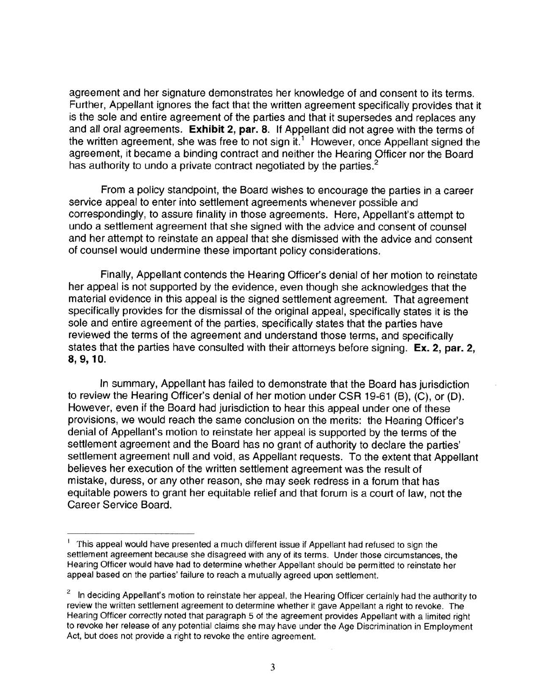agreement and her signature demonstrates her knowledge of and consent to its terms. Further, Appellant ignores the fact that the written agreement specifically provides that it is the sole and entire agreement of the parties and that it supersedes and replaces any and all oral agreements. **Exhibit 2, par. 8.** If Appellant did not agree with the terms of the written agreement, she was free to not sign it.<sup>1</sup> However, once Appellant signed the agreement, it became a binding contract and neither the Hearing Officer nor the Board has authority to undo a private contract negotiated by the parties.<sup>2</sup>

From a policy standpoint, the Board wishes to encourage the parties in a career service appeal to enter into settlement agreements whenever possible and correspondingly, to assure finality in those agreements. Here, Appellant's attempt to undo a settlement agreement that she signed with the advice and consent of counsel and her attempt to reinstate an appeal that she dismissed with the advice and consent of counsel would undermine these important policy considerations.

Finally, Appellant contends the Hearing Officer's denial of her motion to reinstate her appeal is not supported by the evidence, even though she acknowledges that the material evidence in this appeal is the signed settlement agreement. That agreement specifically provides for the dismissal of the original appeal, specifically states it is the sole and entire agreement of the parties, specifically states that the parties have reviewed the terms of the agreement and understand those terms, and specifically states that the parties have consulted with their attorneys before signing. **Ex. 2, par. 2, 8, 9, 10.** 

In summary, Appellant has failed to demonstrate that the Board has jurisdiction to review the Hearing Officer's denial of her motion under CSR 19-61 (B), (C), or (D). However, even if the Board had jurisdiction to hear this appeal under one of these provisions, we would reach the same conclusion on the merits: the Hearing Officer's denial of Appellant's motion to reinstate her appeal is supported by the terms of the settlement agreement and the Board has no grant of authority to declare the parties' settlement agreement null and void, as Appellant requests. To the extent that Appellant believes her execution of the written settlement agreement was the result of mistake, duress, or any other reason, she may seek redress in a forum that has equitable powers to grant her equitable relief and that forum is a court of law, not the Career Service Board.

<sup>&</sup>lt;sup>1</sup> This appeal would have presented a much different issue if Appellant had refused to sign the settlement agreement because she disagreed with any of its terms. Under those circumstances, the Hearing Officer would have had to determine whether Appellant should be permitted to reinstate her appeal based on the parties' failure to reach a mutually agreed upon settlement.

<sup>&</sup>lt;sup>2</sup> In deciding Appellant's motion to reinstate her appeal, the Hearing Officer certainly had the authority to review the written settlement agreement to determine whether it gave Appellant a right to revoke. The Hearing Officer correctly noted that paragraph 5 of the agreement provides Appellant with a limited right to revoke her release of any potential claims she may have under the Age Discrimination in Employment Act, but does not provide a right to revoke the entire agreement.